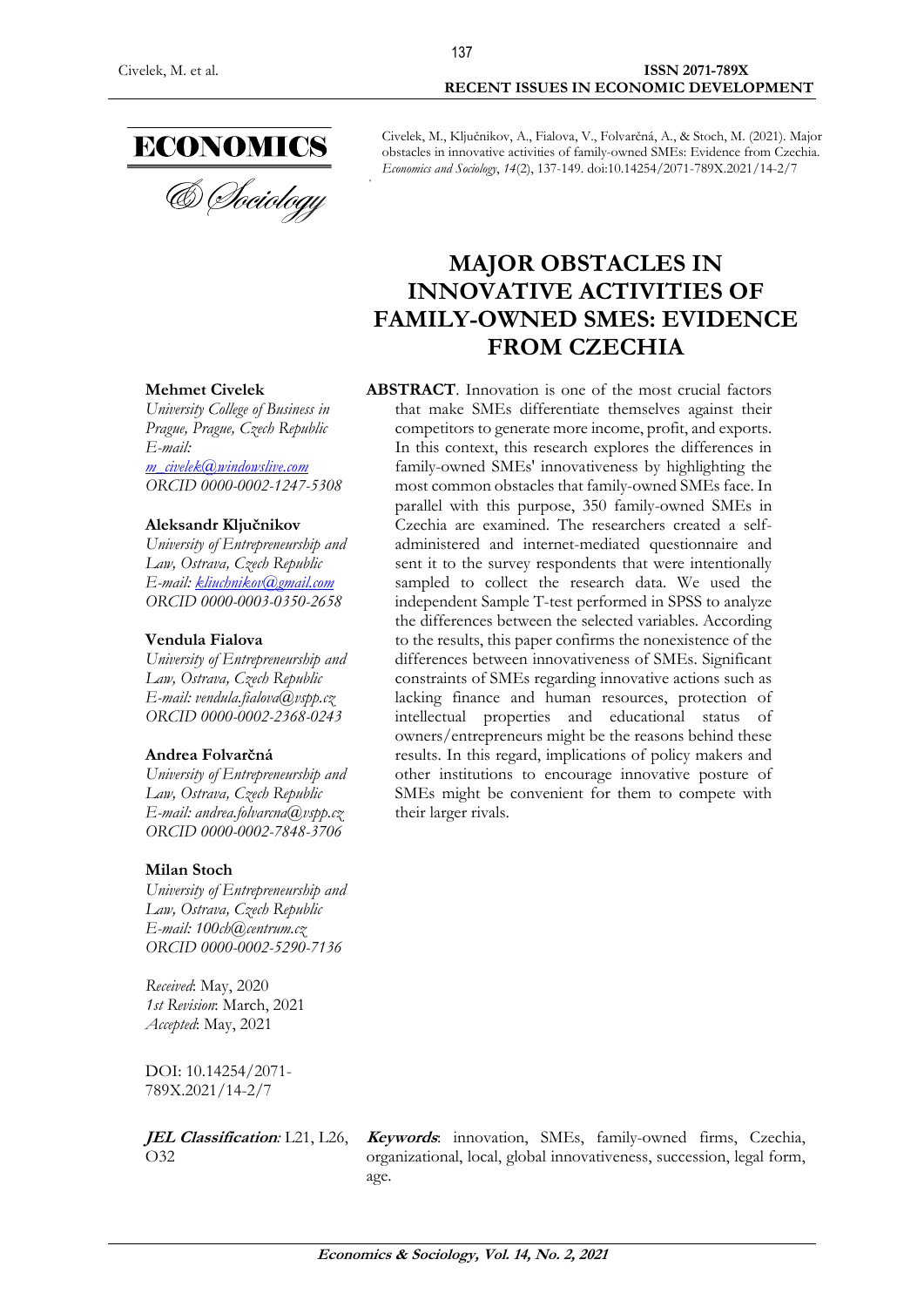#### Civelek, M. et al. **ISSN 2071-789X RECENT ISSUES IN ECONOMIC DEVELOPMENT**

Civelek, M., Ključnikov, A., Fialova, V., Folvarčná, A., & Stoch, M. (2021). Major obstacles in innovative activities of family-owned SMEs: Evidence from Czechia. *Economics and Sociology*, *14*(2), 137-149. doi:10.14254/2071-789X.2021/14-2/7

137

# **MAJOR OBSTACLES IN INNOVATIVE ACTIVITIES OF FAMILY-OWNED SMES: EVIDENCE FROM CZECHIA**

#### **Mehmet Civelek**

*University College of Business in Prague, Prague, Czech Republic E-mail: [m\\_civelek@windowslive.com](mailto:m_civelek@windowslive.com) ORCID 0000-0002-1247-5308*

#### **Aleksandr Ključnikov**

*University of Entrepreneurship and Law, Ostrava, Czech Republic E-mail: [kliuchnikov@gmail.com](mailto:kliuchnikov@gmail.com) ORCID 0000-0003-0350-2658*

#### **Vendula Fialova**

*University of Entrepreneurship and Law, Ostrava, Czech Republic E-mail: vendula.fialova@vspp.cz ORCID 0000-0002-2368-0243*

#### **Andrea Folvarčná**

*University of Entrepreneurship and Law, Ostrava, Czech Republic E-mail: andrea.folvarcna@vspp.cz ORCID 0000-0002-7848-3706*

#### **Milan Stoch**

*University of Entrepreneurship and Law, Ostrava, Czech Republic E-mail: [100ch@centrum.cz](mailto:100ch@centrum.cz) ORCID 0000-0002-5290-7136*

*Received*: May, 2020 *1st Revision*: March, 2021 *Accepted*: May, 2021

DOI: 10.14254/2071- 789X.2021/14-2/7

**JEL Classification***:* L21, L26, O32

**Keywords**: innovation, SMEs, family-owned firms, Czechia, organizational, local, global innovativeness, succession, legal form, age.

**ABSTRACT**. Innovation is one of the most crucial factors that make SMEs differentiate themselves against their competitors to generate more income, profit, and exports. In this context, this research explores the differences in family-owned SMEs' innovativeness by highlighting the most common obstacles that family-owned SMEs face. In parallel with this purpose, 350 family-owned SMEs in Czechia are examined. The researchers created a selfadministered and internet-mediated questionnaire and sent it to the survey respondents that were intentionally sampled to collect the research data. We used the independent Sample T-test performed in SPSS to analyze the differences between the selected variables. According to the results, this paper confirms the nonexistence of the differences between innovativeness of SMEs. Significant constraints of SMEs regarding innovative actions such as lacking finance and human resources, protection of intellectual properties and educational status of owners/entrepreneurs might be the reasons behind these results. In this regard, implications of policy makers and other institutions to encourage innovative posture of SMEs might be convenient for them to compete with their larger rivals.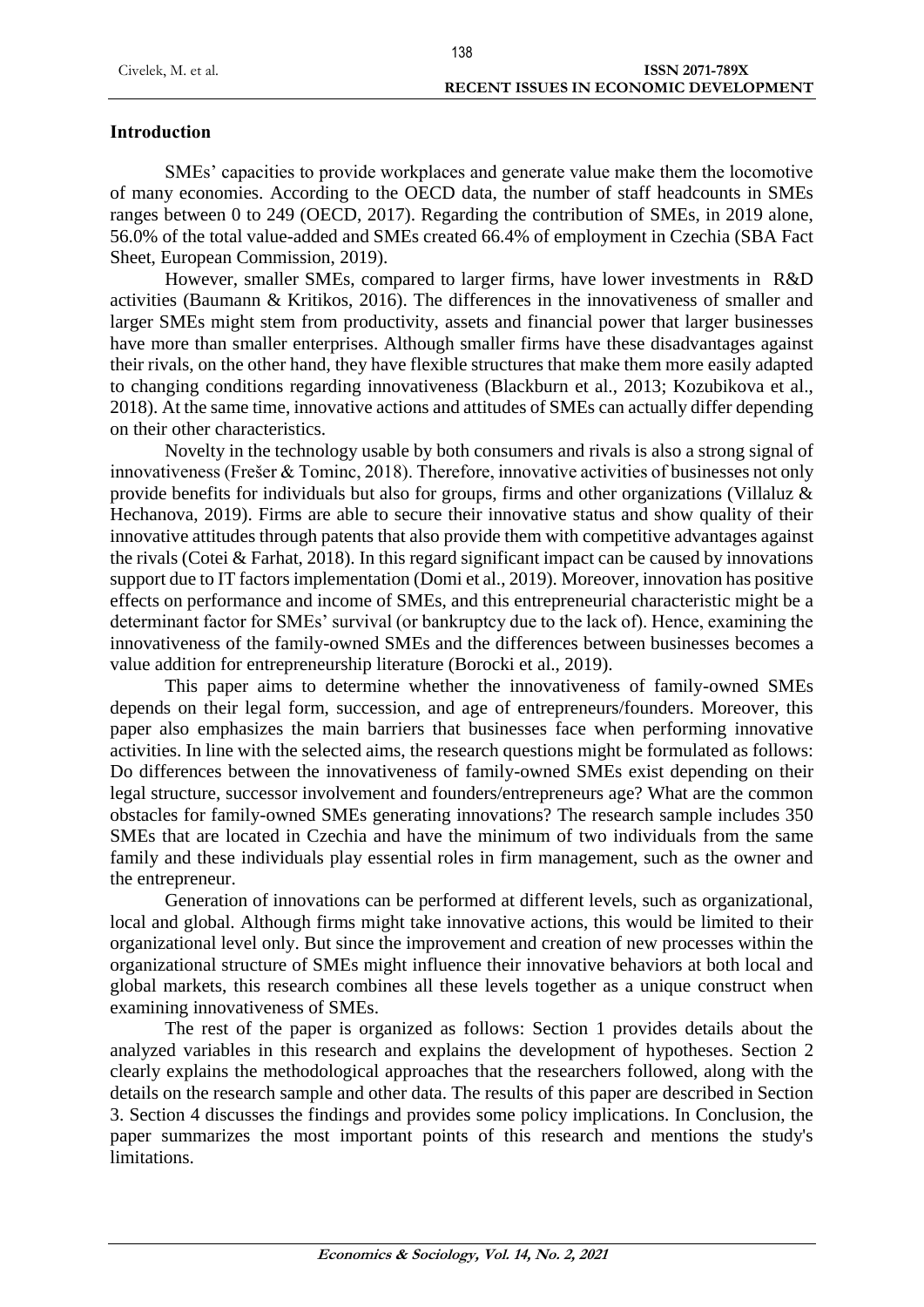# Civelek, M. et al. **ISSN 2071-789X RECENT ISSUES IN ECONOMIC DEVELOPMENT**

# **Introduction**

SMEs' capacities to provide workplaces and generate value make them the locomotive of many economies. According to the OECD data, the number of staff headcounts in SMEs ranges between 0 to 249 (OECD, 2017). Regarding the contribution of SMEs, in 2019 alone, 56.0% of the total value-added and SMEs created 66.4% of employment in Czechia (SBA Fact Sheet, European Commission, 2019).

However, smaller SMEs, compared to larger firms, have lower investments in R&D activities (Baumann & Kritikos, 2016). The differences in the innovativeness of smaller and larger SMEs might stem from productivity, assets and financial power that larger businesses have more than smaller enterprises. Although smaller firms have these disadvantages against their rivals, on the other hand, they have flexible structures that make them more easily adapted to changing conditions regarding innovativeness (Blackburn et al., 2013; Kozubikova et al., 2018). At the same time, innovative actions and attitudes of SMEs can actually differ depending on their other characteristics.

Novelty in the technology usable by both consumers and rivals is also a strong signal of innovativeness (Frešer & Tominc, 2018). Therefore, innovative activities of businesses not only provide benefits for individuals but also for groups, firms and other organizations (Villaluz & Hechanova, 2019). Firms are able to secure their innovative status and show quality of their innovative attitudes through patents that also provide them with competitive advantages against the rivals (Cotei & Farhat, 2018). In this regard significant impact can be caused by innovations support due to IT factors implementation (Domi et al., 2019). Moreover, innovation has positive effects on performance and income of SMEs, and this entrepreneurial characteristic might be a determinant factor for SMEs' survival (or bankruptcy due to the lack of). Hence, examining the innovativeness of the family-owned SMEs and the differences between businesses becomes a value addition for entrepreneurship literature (Borocki et al., 2019).

This paper aims to determine whether the innovativeness of family-owned SMEs depends on their legal form, succession, and age of entrepreneurs/founders. Moreover, this paper also emphasizes the main barriers that businesses face when performing innovative activities. In line with the selected aims, the research questions might be formulated as follows: Do differences between the innovativeness of family-owned SMEs exist depending on their legal structure, successor involvement and founders/entrepreneurs age? What are the common obstacles for family-owned SMEs generating innovations? The research sample includes 350 SMEs that are located in Czechia and have the minimum of two individuals from the same family and these individuals play essential roles in firm management, such as the owner and the entrepreneur.

Generation of innovations can be performed at different levels, such as organizational, local and global. Although firms might take innovative actions, this would be limited to their organizational level only. But since the improvement and creation of new processes within the organizational structure of SMEs might influence their innovative behaviors at both local and global markets, this research combines all these levels together as a unique construct when examining innovativeness of SMEs.

The rest of the paper is organized as follows: Section 1 provides details about the analyzed variables in this research and explains the development of hypotheses. Section 2 clearly explains the methodological approaches that the researchers followed, along with the details on the research sample and other data. The results of this paper are described in Section 3. Section 4 discusses the findings and provides some policy implications. In Conclusion, the paper summarizes the most important points of this research and mentions the study's limitations.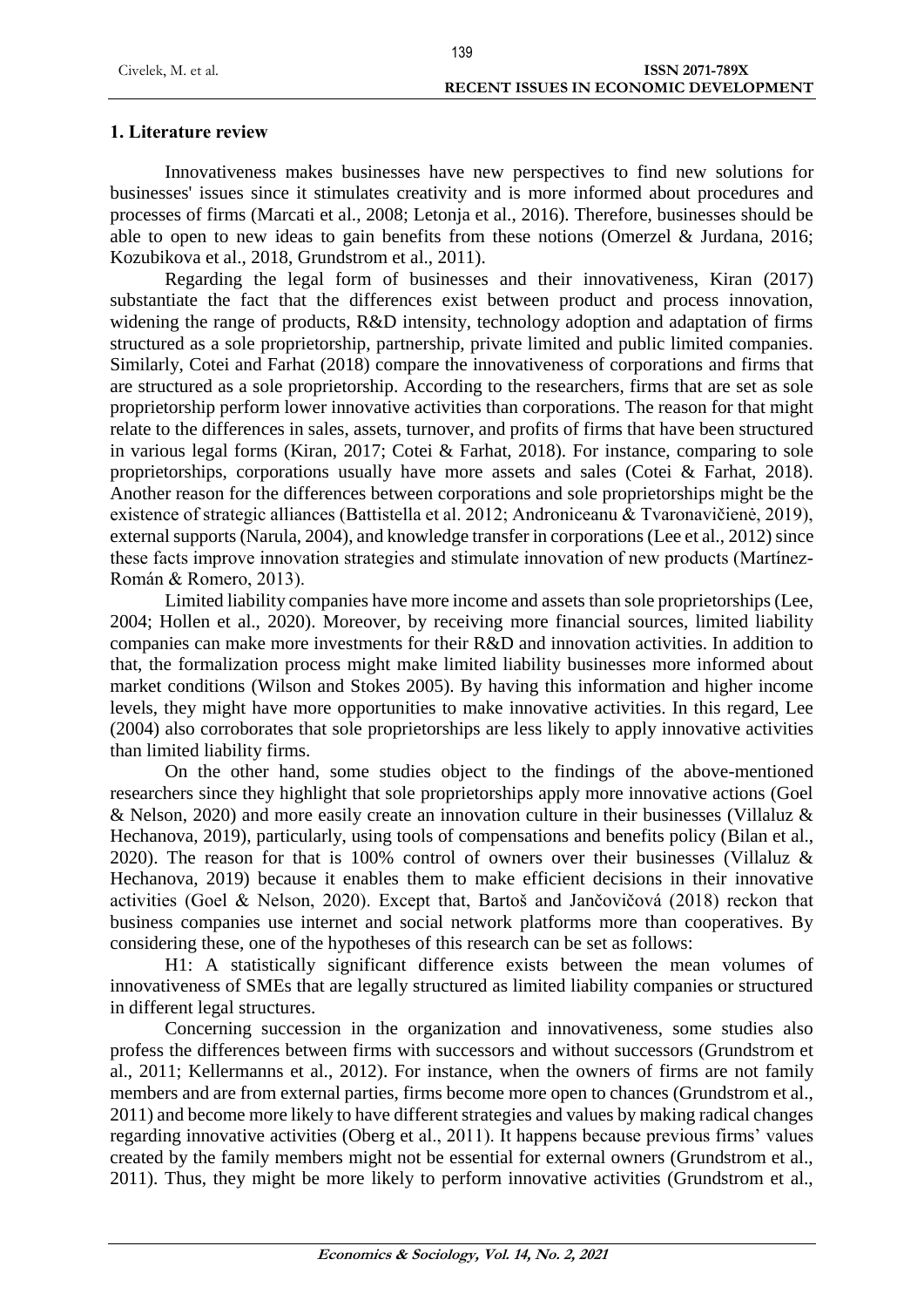## **1. Literature review**

Innovativeness makes businesses have new perspectives to find new solutions for businesses' issues since it stimulates creativity and is more informed about procedures and processes of firms (Marcati et al., 2008; Letonja et al., 2016). Therefore, businesses should be able to open to new ideas to gain benefits from these notions (Omerzel & Jurdana, 2016; Kozubikova et al., 2018, Grundstrom et al., 2011).

Regarding the legal form of businesses and their innovativeness, Kiran (2017) substantiate the fact that the differences exist between product and process innovation, widening the range of products, R&D intensity, technology adoption and adaptation of firms structured as a sole proprietorship, partnership, private limited and public limited companies. Similarly, Cotei and Farhat (2018) compare the innovativeness of corporations and firms that are structured as a sole proprietorship. According to the researchers, firms that are set as sole proprietorship perform lower innovative activities than corporations. The reason for that might relate to the differences in sales, assets, turnover, and profits of firms that have been structured in various legal forms (Kiran, 2017; Cotei & Farhat, 2018). For instance, comparing to sole proprietorships, corporations usually have more assets and sales (Cotei & Farhat, 2018). Another reason for the differences between corporations and sole proprietorships might be the existence of strategic alliances (Battistella et al. 2012; Androniceanu & Tvaronavičienė, 2019), external supports (Narula, 2004), and knowledge transfer in corporations (Lee et al., 2012) since these facts improve innovation strategies and stimulate innovation of new products (Martínez-Román & Romero, 2013).

Limited liability companies have more income and assets than sole proprietorships (Lee, 2004; Hollen et al., 2020). Moreover, by receiving more financial sources, limited liability companies can make more investments for their R&D and innovation activities. In addition to that, the formalization process might make limited liability businesses more informed about market conditions (Wilson and Stokes 2005). By having this information and higher income levels, they might have more opportunities to make innovative activities. In this regard, Lee (2004) also corroborates that sole proprietorships are less likely to apply innovative activities than limited liability firms.

On the other hand, some studies object to the findings of the above-mentioned researchers since they highlight that sole proprietorships apply more innovative actions (Goel & Nelson, 2020) and more easily create an innovation culture in their businesses (Villaluz & Hechanova, 2019), particularly, using tools of compensations and benefits policy (Bilan et al., 2020). The reason for that is 100% control of owners over their businesses (Villaluz & Hechanova, 2019) because it enables them to make efficient decisions in their innovative activities (Goel & Nelson, 2020). Except that, Bartoš and Jančovičová (2018) reckon that business companies use internet and social network platforms more than cooperatives. By considering these, one of the hypotheses of this research can be set as follows:

H1: A statistically significant difference exists between the mean volumes of innovativeness of SMEs that are legally structured as limited liability companies or structured in different legal structures.

Concerning succession in the organization and innovativeness, some studies also profess the differences between firms with successors and without successors (Grundstrom et al., 2011; Kellermanns et al., 2012). For instance, when the owners of firms are not family members and are from external parties, firms become more open to chances (Grundstrom et al., 2011) and become more likely to have different strategies and values by making radical changes regarding innovative activities (Oberg et al., 2011). It happens because previous firms' values created by the family members might not be essential for external owners (Grundstrom et al., 2011). Thus, they might be more likely to perform innovative activities (Grundstrom et al.,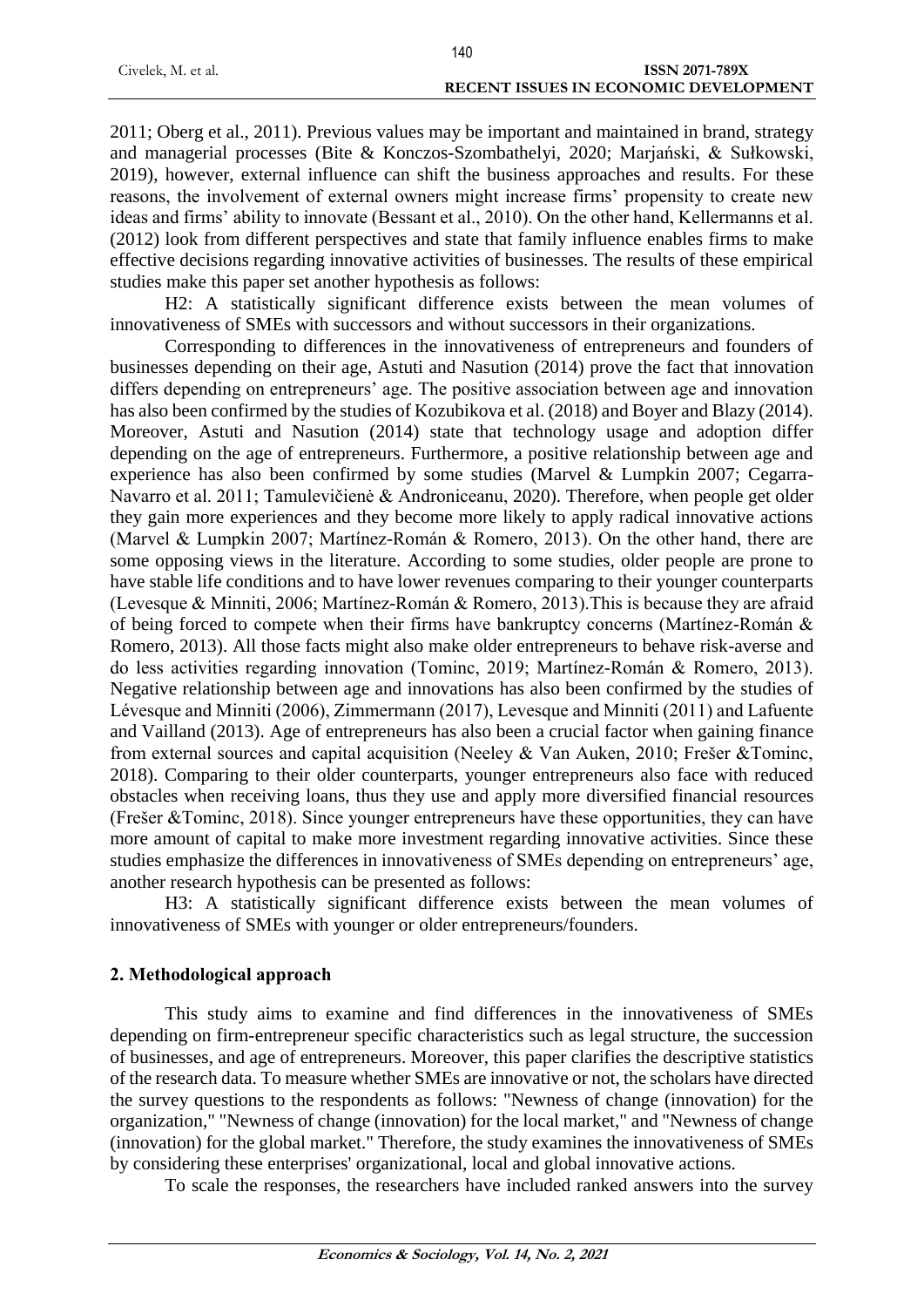|                    | 140                                          |
|--------------------|----------------------------------------------|
| Civelek, M. et al. | ISSN 2071-789X                               |
|                    | <b>RECENT ISSUES IN ECONOMIC DEVELOPMENT</b> |

2011; Oberg et al., 2011). Previous values may be important and maintained in brand, strategy and managerial processes (Bite & Konczos-Szombathelyi, 2020; Marjański, & Sułkowski, 2019), however, external influence can shift the business approaches and results. For these reasons, the involvement of external owners might increase firms' propensity to create new ideas and firms' ability to innovate (Bessant et al., 2010). On the other hand, Kellermanns et al. (2012) look from different perspectives and state that family influence enables firms to make effective decisions regarding innovative activities of businesses. The results of these empirical studies make this paper set another hypothesis as follows:

H2: A statistically significant difference exists between the mean volumes of innovativeness of SMEs with successors and without successors in their organizations.

Corresponding to differences in the innovativeness of entrepreneurs and founders of businesses depending on their age, Astuti and Nasution (2014) prove the fact that innovation differs depending on entrepreneurs' age. The positive association between age and innovation has also been confirmed by the studies of Kozubikova et al. (2018) and Boyer and Blazy (2014). Moreover, Astuti and Nasution (2014) state that technology usage and adoption differ depending on the age of entrepreneurs. Furthermore, a positive relationship between age and experience has also been confirmed by some studies (Marvel & Lumpkin 2007; Cegarra-Navarro et al. 2011; Tamulevičienė & Androniceanu, 2020). Therefore, when people get older they gain more experiences and they become more likely to apply radical innovative actions (Marvel & Lumpkin 2007; Martínez-Román & Romero, 2013). On the other hand, there are some opposing views in the literature. According to some studies, older people are prone to have stable life conditions and to have lower revenues comparing to their younger counterparts (Levesque & Minniti, 2006; Martínez-Román & Romero, 2013).This is because they are afraid of being forced to compete when their firms have bankruptcy concerns (Martínez-Román & Romero, 2013). All those facts might also make older entrepreneurs to behave risk-averse and do less activities regarding innovation (Tominc, 2019; Martínez-Román & Romero, 2013). Negative relationship between age and innovations has also been confirmed by the studies of Lévesque and Minniti (2006), Zimmermann (2017), Levesque and Minniti (2011) and Lafuente and Vailland (2013). Age of entrepreneurs has also been a crucial factor when gaining finance from external sources and capital acquisition (Neeley & Van Auken, 2010; Frešer &Tominc, 2018). Comparing to their older counterparts, younger entrepreneurs also face with reduced obstacles when receiving loans, thus they use and apply more diversified financial resources (Frešer &Tominc, 2018). Since younger entrepreneurs have these opportunities, they can have more amount of capital to make more investment regarding innovative activities. Since these studies emphasize the differences in innovativeness of SMEs depending on entrepreneurs' age, another research hypothesis can be presented as follows:

H3: A statistically significant difference exists between the mean volumes of innovativeness of SMEs with younger or older entrepreneurs/founders.

## **2. Methodological approach**

This study aims to examine and find differences in the innovativeness of SMEs depending on firm-entrepreneur specific characteristics such as legal structure, the succession of businesses, and age of entrepreneurs. Moreover, this paper clarifies the descriptive statistics of the research data. To measure whether SMEs are innovative or not, the scholars have directed the survey questions to the respondents as follows: "Newness of change (innovation) for the organization," "Newness of change (innovation) for the local market," and "Newness of change (innovation) for the global market." Therefore, the study examines the innovativeness of SMEs by considering these enterprises' organizational, local and global innovative actions.

To scale the responses, the researchers have included ranked answers into the survey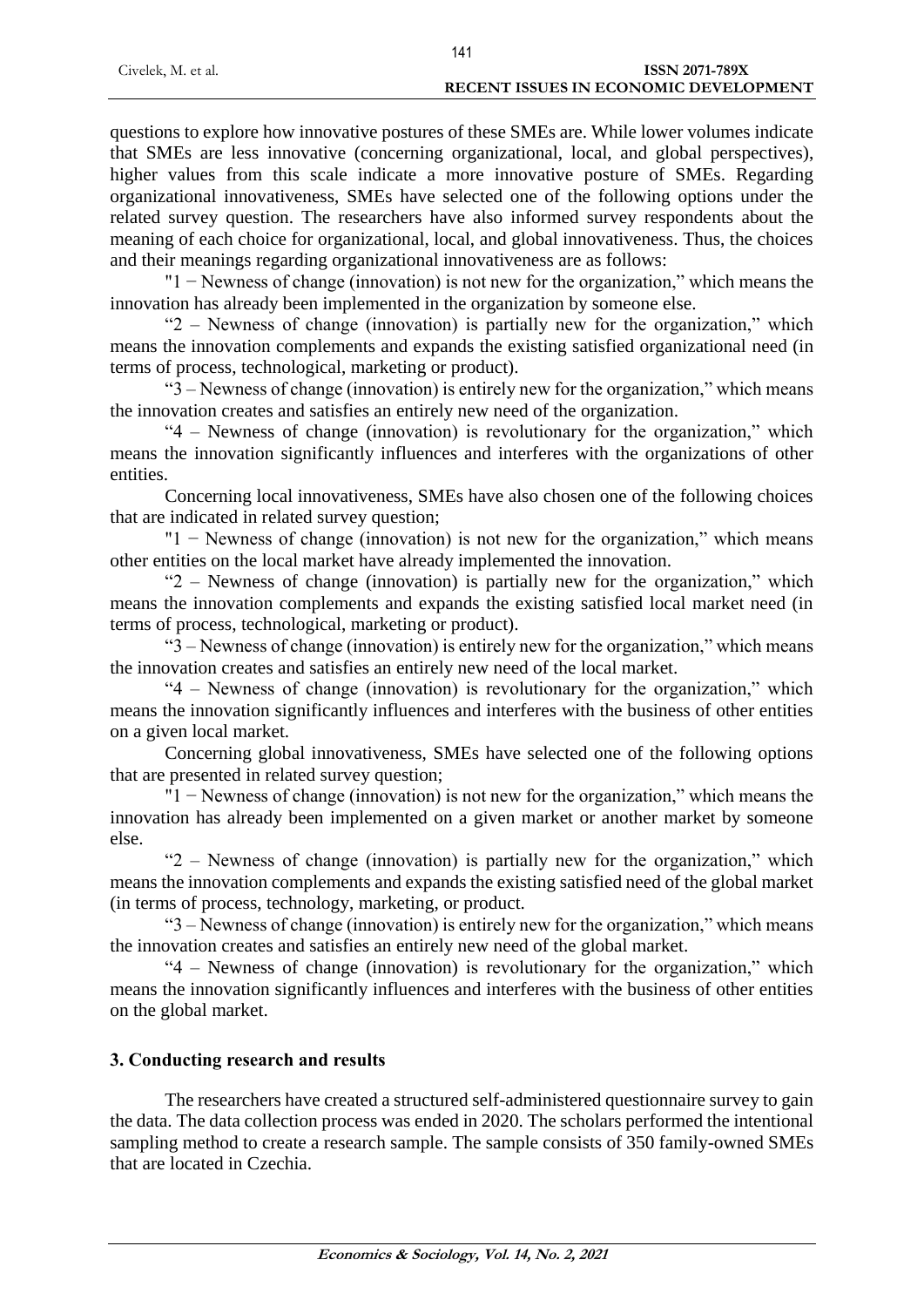|                    | 141                                          |
|--------------------|----------------------------------------------|
| Civelek, M. et al. | ISSN 2071-789X                               |
|                    | <b>RECENT ISSUES IN ECONOMIC DEVELOPMENT</b> |

questions to explore how innovative postures of these SMEs are. While lower volumes indicate that SMEs are less innovative (concerning organizational, local, and global perspectives), higher values from this scale indicate a more innovative posture of SMEs. Regarding organizational innovativeness, SMEs have selected one of the following options under the related survey question. The researchers have also informed survey respondents about the meaning of each choice for organizational, local, and global innovativeness. Thus, the choices and their meanings regarding organizational innovativeness are as follows:

"1 − Newness of change (innovation) is not new for the organization," which means the innovation has already been implemented in the organization by someone else.

"2 – Newness of change (innovation) is partially new for the organization," which means the innovation complements and expands the existing satisfied organizational need (in terms of process, technological, marketing or product).

"3 – Newness of change (innovation) is entirely new for the organization," which means the innovation creates and satisfies an entirely new need of the organization.

"4 – Newness of change (innovation) is revolutionary for the organization," which means the innovation significantly influences and interferes with the organizations of other entities.

Concerning local innovativeness, SMEs have also chosen one of the following choices that are indicated in related survey question;

"1 − Newness of change (innovation) is not new for the organization," which means other entities on the local market have already implemented the innovation.

"2 – Newness of change (innovation) is partially new for the organization," which means the innovation complements and expands the existing satisfied local market need (in terms of process, technological, marketing or product).

"3 – Newness of change (innovation) is entirely new for the organization," which means the innovation creates and satisfies an entirely new need of the local market.

"4 – Newness of change (innovation) is revolutionary for the organization," which means the innovation significantly influences and interferes with the business of other entities on a given local market.

Concerning global innovativeness, SMEs have selected one of the following options that are presented in related survey question;

"1 − Newness of change (innovation) is not new for the organization," which means the innovation has already been implemented on a given market or another market by someone else.

"2 – Newness of change (innovation) is partially new for the organization," which means the innovation complements and expands the existing satisfied need of the global market (in terms of process, technology, marketing, or product.

"3 – Newness of change (innovation) is entirely new for the organization," which means the innovation creates and satisfies an entirely new need of the global market.

"4 – Newness of change (innovation) is revolutionary for the organization," which means the innovation significantly influences and interferes with the business of other entities on the global market.

# **3. Conducting research and results**

The researchers have created a structured self-administered questionnaire survey to gain the data. The data collection process was ended in 2020. The scholars performed the intentional sampling method to create a research sample. The sample consists of 350 family-owned SMEs that are located in Czechia.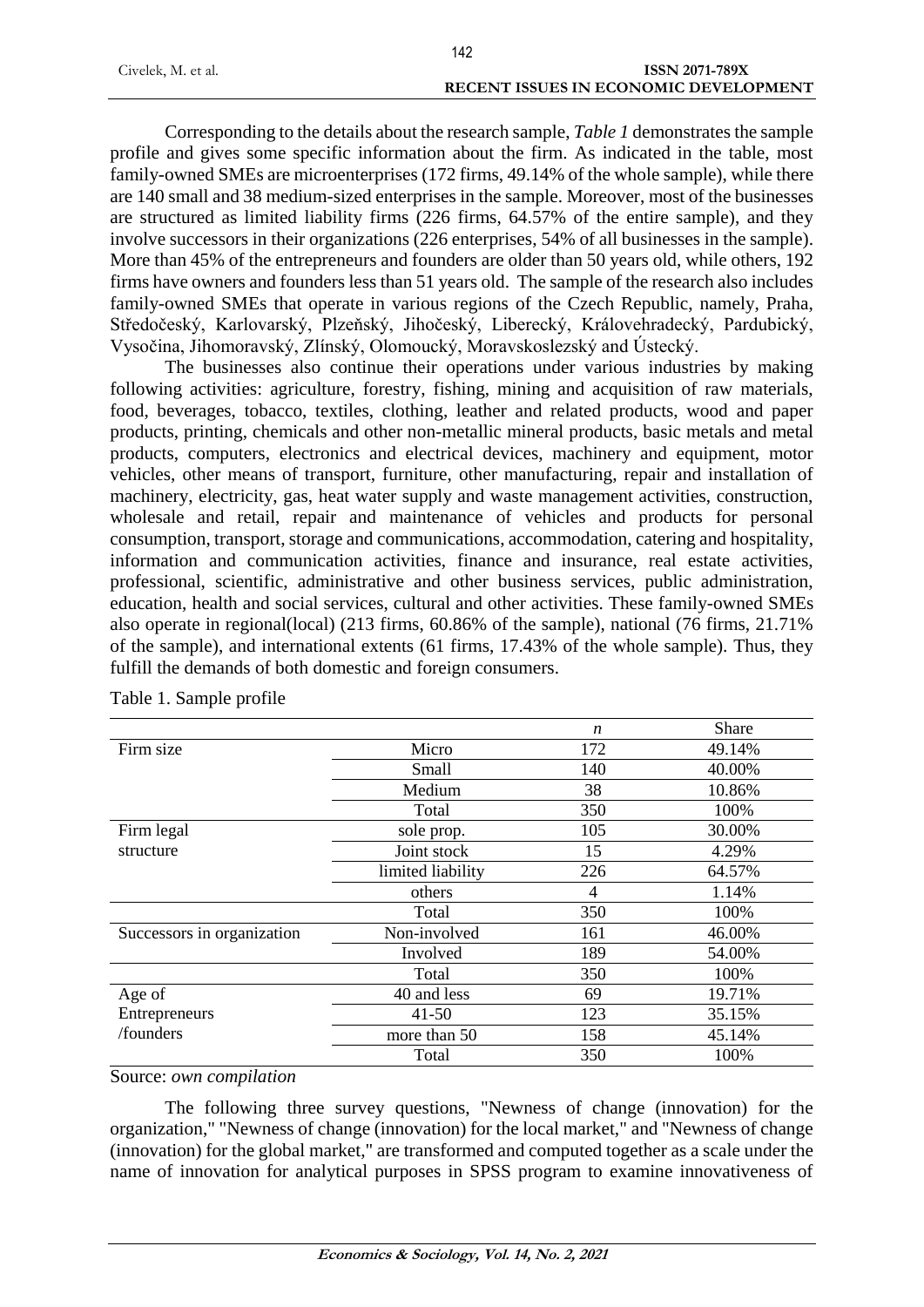|                    | 142                                   |
|--------------------|---------------------------------------|
| Civelek, M. et al. | ISSN 2071-789X                        |
|                    | RECENT ISSUES IN ECONOMIC DEVELOPMENT |

Corresponding to the details about the research sample, *Table 1* demonstrates the sample profile and gives some specific information about the firm. As indicated in the table, most family-owned SMEs are microenterprises (172 firms, 49.14% of the whole sample), while there are 140 small and 38 medium-sized enterprises in the sample. Moreover, most of the businesses are structured as limited liability firms (226 firms, 64.57% of the entire sample), and they involve successors in their organizations (226 enterprises, 54% of all businesses in the sample). More than 45% of the entrepreneurs and founders are older than 50 years old, while others, 192 firms have owners and founders less than 51 years old. The sample of the research also includes family-owned SMEs that operate in various regions of the Czech Republic, namely, Praha, Středočeský, Karlovarský, Plzeňský, Jihočeský, Liberecký, Královehradecký, Pardubický, Vysočina, Jihomoravský, Zlínský, Olomoucký, Moravskoslezský and Ústecký.

The businesses also continue their operations under various industries by making following activities: agriculture, forestry, fishing, mining and acquisition of raw materials, food, beverages, tobacco, textiles, clothing, leather and related products, wood and paper products, printing, chemicals and other non-metallic mineral products, basic metals and metal products, computers, electronics and electrical devices, machinery and equipment, motor vehicles, other means of transport, furniture, other manufacturing, repair and installation of machinery, electricity, gas, heat water supply and waste management activities, construction, wholesale and retail, repair and maintenance of vehicles and products for personal consumption, transport, storage and communications, accommodation, catering and hospitality, information and communication activities, finance and insurance, real estate activities, professional, scientific, administrative and other business services, public administration, education, health and social services, cultural and other activities. These family-owned SMEs also operate in regional(local) (213 firms, 60.86% of the sample), national (76 firms, 21.71% of the sample), and international extents (61 firms, 17.43% of the whole sample). Thus, they fulfill the demands of both domestic and foreign consumers.

|                            |                   | $\boldsymbol{n}$ | Share  |
|----------------------------|-------------------|------------------|--------|
| Firm size                  | Micro             | 172              | 49.14% |
|                            | Small             | 140              | 40.00% |
|                            | Medium            | 38               | 10.86% |
|                            | Total             | 350              | 100%   |
| Firm legal                 | sole prop.        | 105              | 30.00% |
| structure                  | Joint stock       | 15               | 4.29%  |
|                            | limited liability | 226              | 64.57% |
|                            | others            | 4                | 1.14%  |
|                            | Total             | 350              | 100%   |
| Successors in organization | Non-involved      | 161              | 46.00% |
|                            | Involved          | 189              | 54.00% |
|                            | Total             | 350              | 100%   |
| Age of                     | 40 and less       | 69               | 19.71% |
| Entrepreneurs              | $41 - 50$         | 123              | 35.15% |
| /founders                  | more than 50      | 158              | 45.14% |
|                            | Total             | 350              | 100%   |

Table 1. Sample profile

#### Source: *own compilation*

The following three survey questions, "Newness of change (innovation) for the organization," "Newness of change (innovation) for the local market," and "Newness of change (innovation) for the global market," are transformed and computed together as a scale under the name of innovation for analytical purposes in SPSS program to examine innovativeness of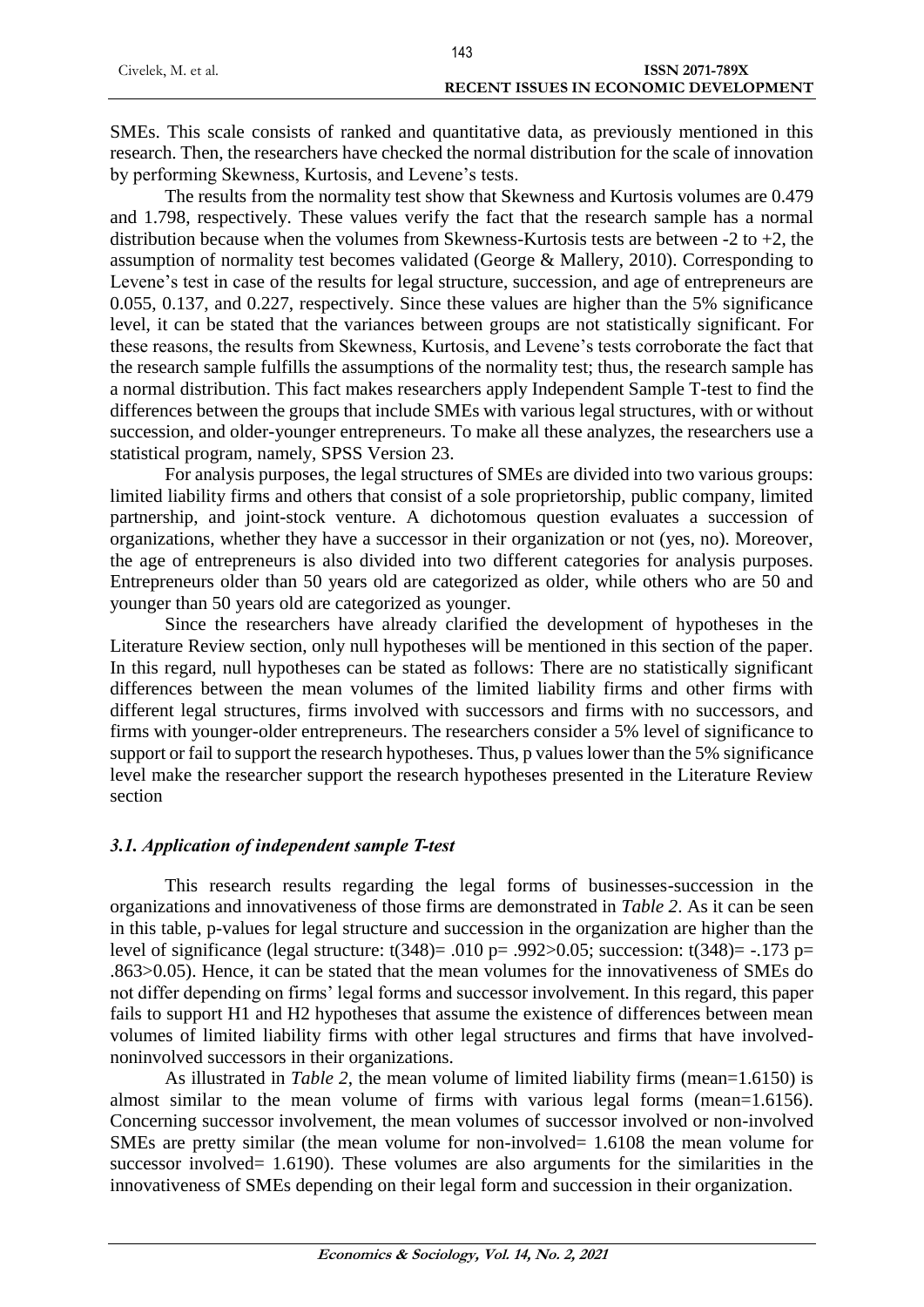|                    | 143                                   |
|--------------------|---------------------------------------|
| Civelek, M. et al. | <b>ISSN 2071-789X</b>                 |
|                    | RECENT ISSUES IN ECONOMIC DEVELOPMENT |

SMEs. This scale consists of ranked and quantitative data, as previously mentioned in this research. Then, the researchers have checked the normal distribution for the scale of innovation by performing Skewness, Kurtosis, and Levene's tests.

The results from the normality test show that Skewness and Kurtosis volumes are 0.479 and 1.798, respectively. These values verify the fact that the research sample has a normal distribution because when the volumes from Skewness-Kurtosis tests are between -2 to +2, the assumption of normality test becomes validated (George & Mallery, 2010). Corresponding to Levene's test in case of the results for legal structure, succession, and age of entrepreneurs are 0.055, 0.137, and 0.227, respectively. Since these values are higher than the 5% significance level, it can be stated that the variances between groups are not statistically significant. For these reasons, the results from Skewness, Kurtosis, and Levene's tests corroborate the fact that the research sample fulfills the assumptions of the normality test; thus, the research sample has a normal distribution. This fact makes researchers apply Independent Sample T-test to find the differences between the groups that include SMEs with various legal structures, with or without succession, and older-younger entrepreneurs. To make all these analyzes, the researchers use a statistical program, namely, SPSS Version 23.

For analysis purposes, the legal structures of SMEs are divided into two various groups: limited liability firms and others that consist of a sole proprietorship, public company, limited partnership, and joint-stock venture. A dichotomous question evaluates a succession of organizations, whether they have a successor in their organization or not (yes, no). Moreover, the age of entrepreneurs is also divided into two different categories for analysis purposes. Entrepreneurs older than 50 years old are categorized as older, while others who are 50 and younger than 50 years old are categorized as younger.

Since the researchers have already clarified the development of hypotheses in the Literature Review section, only null hypotheses will be mentioned in this section of the paper. In this regard, null hypotheses can be stated as follows: There are no statistically significant differences between the mean volumes of the limited liability firms and other firms with different legal structures, firms involved with successors and firms with no successors, and firms with younger-older entrepreneurs. The researchers consider a 5% level of significance to support or fail to support the research hypotheses. Thus, p values lower than the 5% significance level make the researcher support the research hypotheses presented in the Literature Review section

## *3.1. Application of independent sample T-test*

This research results regarding the legal forms of businesses-succession in the organizations and innovativeness of those firms are demonstrated in *Table 2*. As it can be seen in this table, p-values for legal structure and succession in the organization are higher than the level of significance (legal structure:  $t(348)$ = .010 p= .992>0.05; succession:  $t(348)$ = -.173 p= .863>0.05). Hence, it can be stated that the mean volumes for the innovativeness of SMEs do not differ depending on firms' legal forms and successor involvement. In this regard, this paper fails to support H1 and H2 hypotheses that assume the existence of differences between mean volumes of limited liability firms with other legal structures and firms that have involvednoninvolved successors in their organizations.

As illustrated in *Table 2*, the mean volume of limited liability firms (mean=1.6150) is almost similar to the mean volume of firms with various legal forms (mean=1.6156). Concerning successor involvement, the mean volumes of successor involved or non-involved SMEs are pretty similar (the mean volume for non-involved= 1.6108 the mean volume for successor involved= 1.6190). These volumes are also arguments for the similarities in the innovativeness of SMEs depending on their legal form and succession in their organization.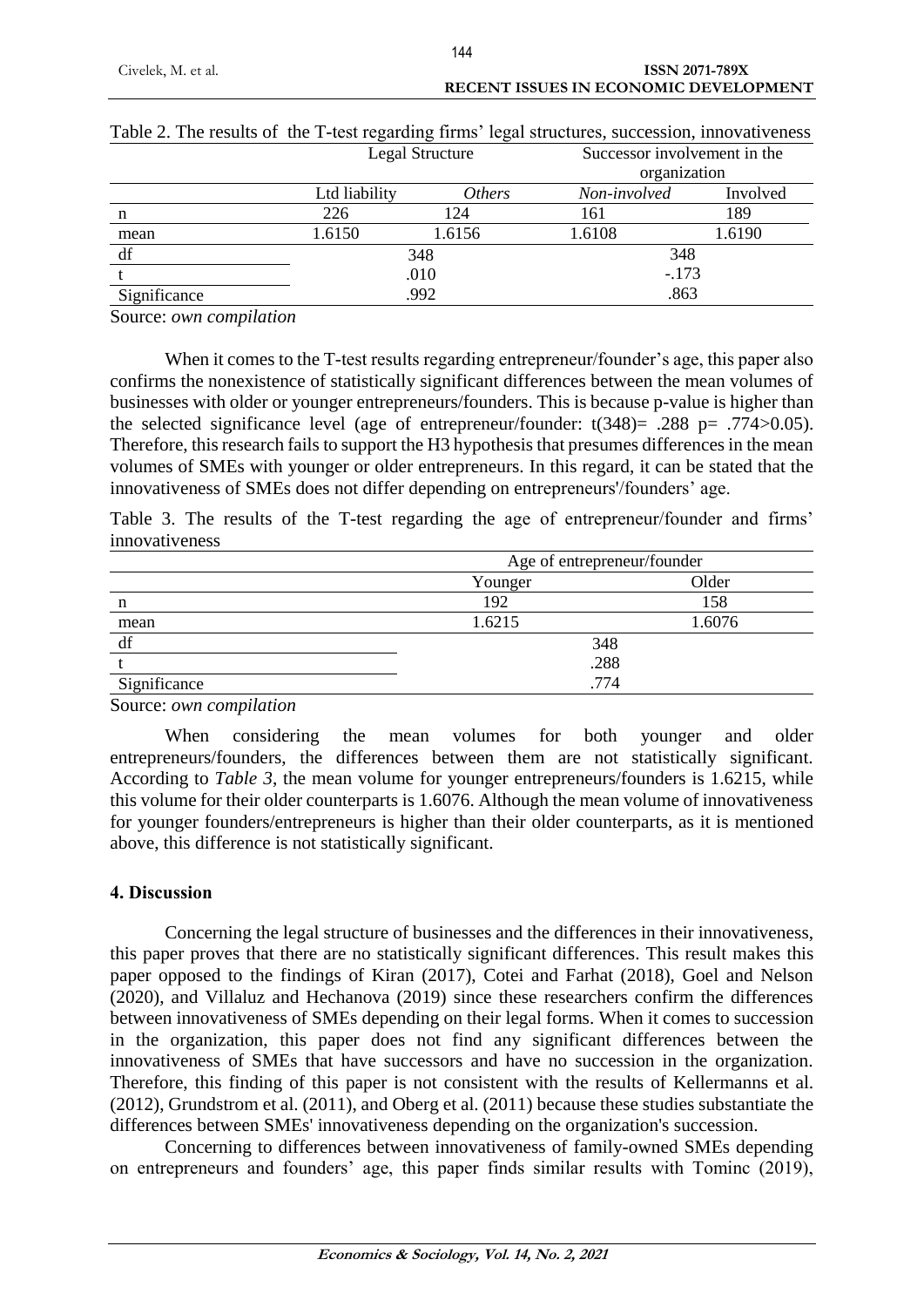|              | Legal Structure |               | Successor involvement in the<br>organization |          |
|--------------|-----------------|---------------|----------------------------------------------|----------|
|              | Ltd liability   | <i>Others</i> | Non-involved                                 | Involved |
| n            | 226             | 124           | 161                                          | 189      |
| mean         | 1.6150          | 1.6156        | 1.6108                                       | 1.6190   |
| df           |                 | 348           |                                              | 348      |
|              | .010            |               |                                              | $-.173$  |
| Significance |                 | .992          |                                              | .863     |

# Table 2. The results of the T-test regarding firms' legal structures, succession, innovativeness Legal Structure Successor involvement in the

Source: *own compilation*

When it comes to the T-test results regarding entrepreneur/founder's age, this paper also confirms the nonexistence of statistically significant differences between the mean volumes of businesses with older or younger entrepreneurs/founders. This is because p-value is higher than the selected significance level (age of entrepreneur/founder:  $t(348) = .288$  p= .774>0.05). Therefore, this research fails to support the H3 hypothesis that presumes differences in the mean volumes of SMEs with younger or older entrepreneurs. In this regard, it can be stated that the innovativeness of SMEs does not differ depending on entrepreneurs'/founders' age.

Table 3. The results of the T-test regarding the age of entrepreneur/founder and firms' innovativeness

|              | Age of entrepreneur/founder |        |  |
|--------------|-----------------------------|--------|--|
|              | Younger                     | Older  |  |
| n            | 192                         | 158    |  |
| mean         | 1.6215                      | 1.6076 |  |
| df           | 348                         |        |  |
|              | .288                        |        |  |
| Significance | .774                        |        |  |

Source: *own compilation*

When considering the mean volumes for both younger and older entrepreneurs/founders, the differences between them are not statistically significant. According to *Table 3*, the mean volume for younger entrepreneurs/founders is 1.6215, while this volume for their older counterparts is 1.6076. Although the mean volume of innovativeness for younger founders/entrepreneurs is higher than their older counterparts, as it is mentioned above, this difference is not statistically significant.

## **4. Discussion**

Concerning the legal structure of businesses and the differences in their innovativeness, this paper proves that there are no statistically significant differences. This result makes this paper opposed to the findings of Kiran (2017), Cotei and Farhat (2018), Goel and Nelson (2020), and Villaluz and Hechanova (2019) since these researchers confirm the differences between innovativeness of SMEs depending on their legal forms. When it comes to succession in the organization, this paper does not find any significant differences between the innovativeness of SMEs that have successors and have no succession in the organization. Therefore, this finding of this paper is not consistent with the results of Kellermanns et al. (2012), Grundstrom et al. (2011), and Oberg et al. (2011) because these studies substantiate the differences between SMEs' innovativeness depending on the organization's succession.

Concerning to differences between innovativeness of family-owned SMEs depending on entrepreneurs and founders' age, this paper finds similar results with Tominc (2019),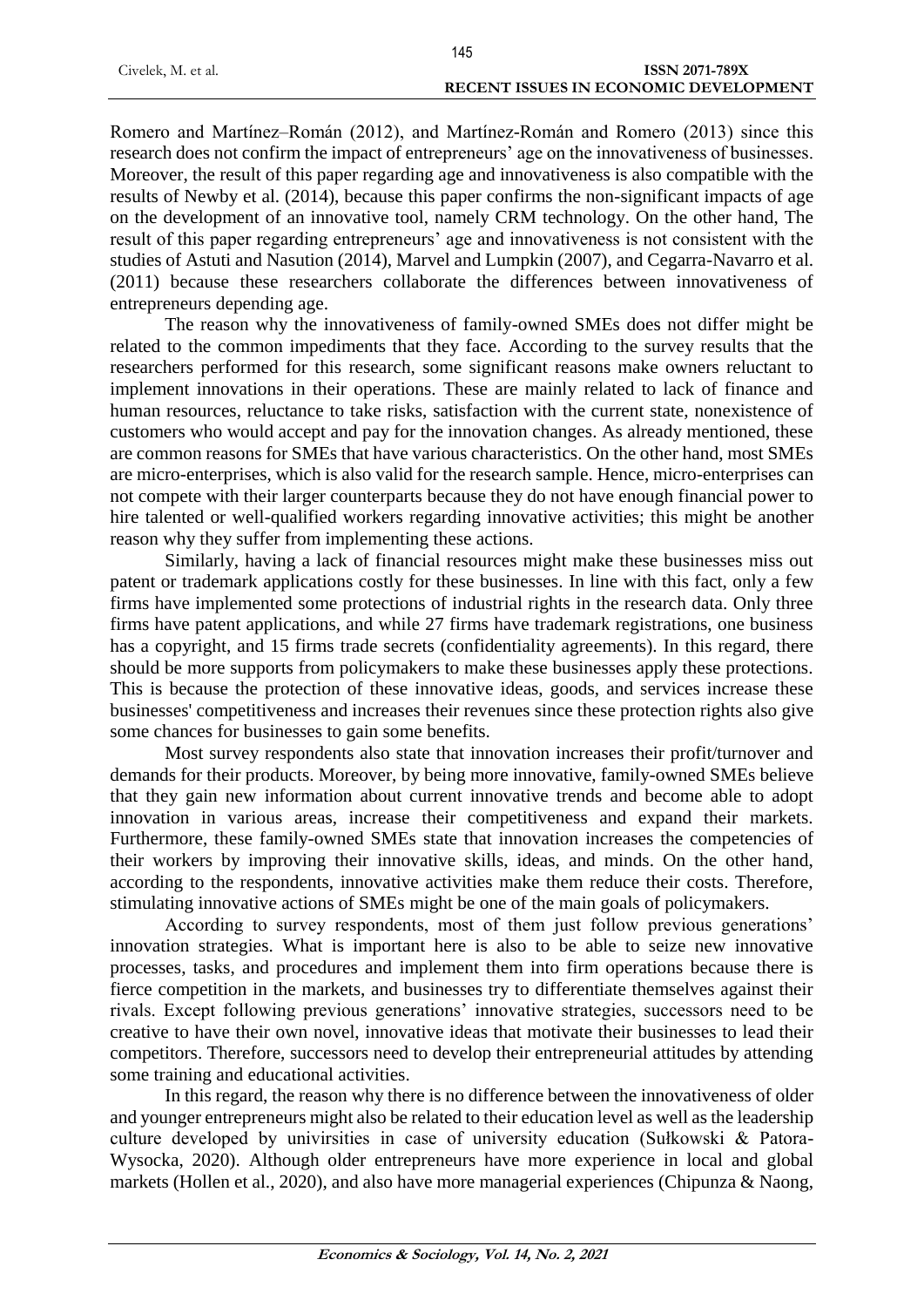|                    | 145                                          |
|--------------------|----------------------------------------------|
| Civelek, M. et al. | <b>ISSN 2071-789X</b>                        |
|                    | <b>RECENT ISSUES IN ECONOMIC DEVELOPMENT</b> |

Romero and Martínez–Román (2012), and Martínez-Román and Romero (2013) since this research does not confirm the impact of entrepreneurs' age on the innovativeness of businesses. Moreover, the result of this paper regarding age and innovativeness is also compatible with the results of Newby et al. (2014), because this paper confirms the non-significant impacts of age on the development of an innovative tool, namely CRM technology. On the other hand, The result of this paper regarding entrepreneurs' age and innovativeness is not consistent with the studies of Astuti and Nasution (2014), Marvel and Lumpkin (2007), and Cegarra-Navarro et al. (2011) because these researchers collaborate the differences between innovativeness of entrepreneurs depending age.

The reason why the innovativeness of family-owned SMEs does not differ might be related to the common impediments that they face. According to the survey results that the researchers performed for this research, some significant reasons make owners reluctant to implement innovations in their operations. These are mainly related to lack of finance and human resources, reluctance to take risks, satisfaction with the current state, nonexistence of customers who would accept and pay for the innovation changes. As already mentioned, these are common reasons for SMEs that have various characteristics. On the other hand, most SMEs are micro-enterprises, which is also valid for the research sample. Hence, micro-enterprises can not compete with their larger counterparts because they do not have enough financial power to hire talented or well-qualified workers regarding innovative activities; this might be another reason why they suffer from implementing these actions.

Similarly, having a lack of financial resources might make these businesses miss out patent or trademark applications costly for these businesses. In line with this fact, only a few firms have implemented some protections of industrial rights in the research data. Only three firms have patent applications, and while 27 firms have trademark registrations, one business has a copyright, and 15 firms trade secrets (confidentiality agreements). In this regard, there should be more supports from policymakers to make these businesses apply these protections. This is because the protection of these innovative ideas, goods, and services increase these businesses' competitiveness and increases their revenues since these protection rights also give some chances for businesses to gain some benefits.

Most survey respondents also state that innovation increases their profit/turnover and demands for their products. Moreover, by being more innovative, family-owned SMEs believe that they gain new information about current innovative trends and become able to adopt innovation in various areas, increase their competitiveness and expand their markets. Furthermore, these family-owned SMEs state that innovation increases the competencies of their workers by improving their innovative skills, ideas, and minds. On the other hand, according to the respondents, innovative activities make them reduce their costs. Therefore, stimulating innovative actions of SMEs might be one of the main goals of policymakers.

According to survey respondents, most of them just follow previous generations' innovation strategies. What is important here is also to be able to seize new innovative processes, tasks, and procedures and implement them into firm operations because there is fierce competition in the markets, and businesses try to differentiate themselves against their rivals. Except following previous generations' innovative strategies, successors need to be creative to have their own novel, innovative ideas that motivate their businesses to lead their competitors. Therefore, successors need to develop their entrepreneurial attitudes by attending some training and educational activities.

In this regard, the reason why there is no difference between the innovativeness of older and younger entrepreneurs might also be related to their education level as well as the leadership culture developed by univirsities in case of university education (Sułkowski & Patora-Wysocka, 2020). Although older entrepreneurs have more experience in local and global markets (Hollen et al., 2020), and also have more managerial experiences (Chipunza & Naong,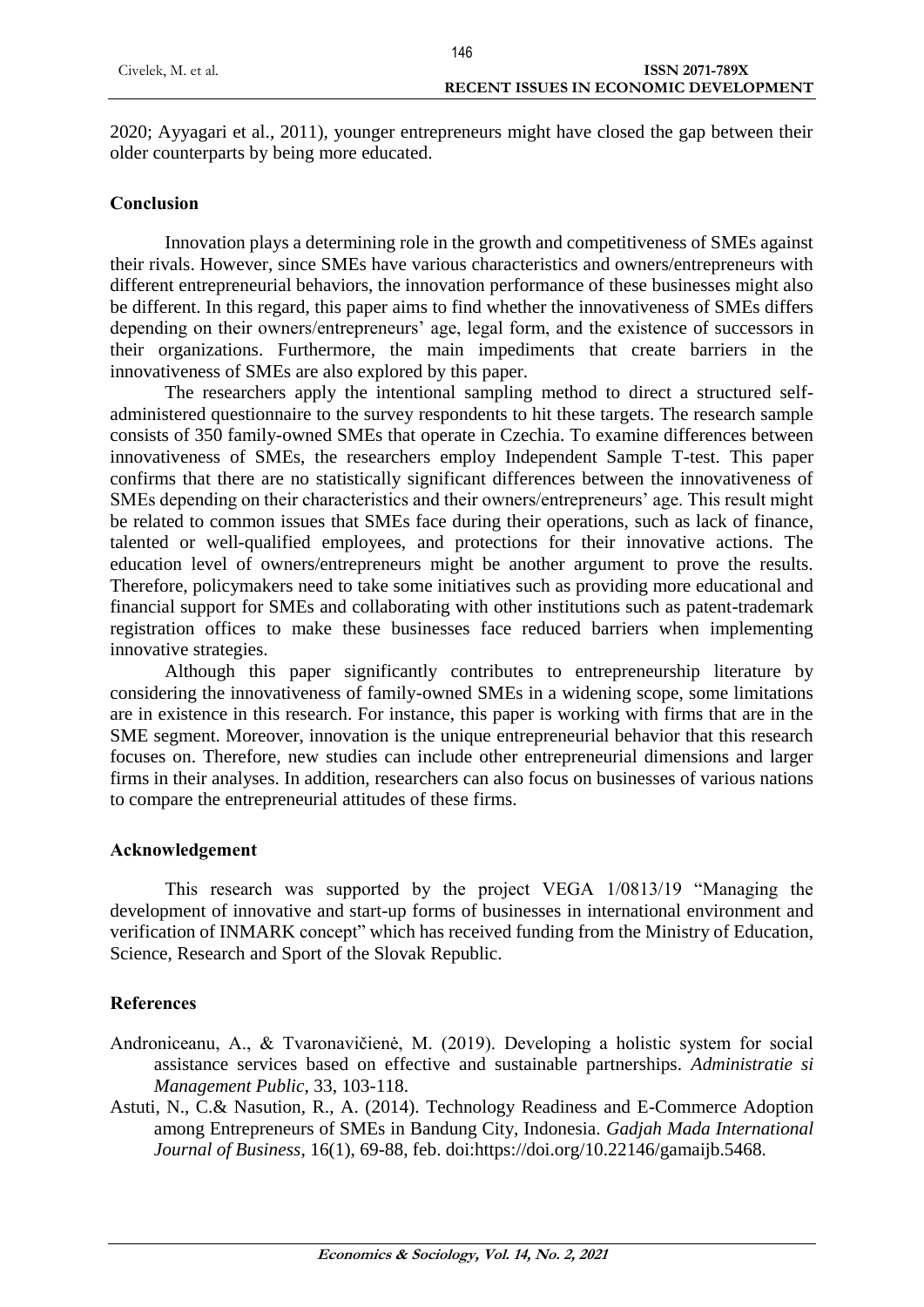2020; Ayyagari et al., 2011), younger entrepreneurs might have closed the gap between their older counterparts by being more educated.

## **Conclusion**

Innovation plays a determining role in the growth and competitiveness of SMEs against their rivals. However, since SMEs have various characteristics and owners/entrepreneurs with different entrepreneurial behaviors, the innovation performance of these businesses might also be different. In this regard, this paper aims to find whether the innovativeness of SMEs differs depending on their owners/entrepreneurs' age, legal form, and the existence of successors in their organizations. Furthermore, the main impediments that create barriers in the innovativeness of SMEs are also explored by this paper.

The researchers apply the intentional sampling method to direct a structured selfadministered questionnaire to the survey respondents to hit these targets. The research sample consists of 350 family-owned SMEs that operate in Czechia. To examine differences between innovativeness of SMEs, the researchers employ Independent Sample T-test. This paper confirms that there are no statistically significant differences between the innovativeness of SMEs depending on their characteristics and their owners/entrepreneurs' age. This result might be related to common issues that SMEs face during their operations, such as lack of finance, talented or well-qualified employees, and protections for their innovative actions. The education level of owners/entrepreneurs might be another argument to prove the results. Therefore, policymakers need to take some initiatives such as providing more educational and financial support for SMEs and collaborating with other institutions such as patent-trademark registration offices to make these businesses face reduced barriers when implementing innovative strategies.

Although this paper significantly contributes to entrepreneurship literature by considering the innovativeness of family-owned SMEs in a widening scope, some limitations are in existence in this research. For instance, this paper is working with firms that are in the SME segment. Moreover, innovation is the unique entrepreneurial behavior that this research focuses on. Therefore, new studies can include other entrepreneurial dimensions and larger firms in their analyses. In addition, researchers can also focus on businesses of various nations to compare the entrepreneurial attitudes of these firms.

## **Acknowledgement**

This research was supported by the project VEGA 1/0813/19 "Managing the development of innovative and start-up forms of businesses in international environment and verification of INMARK concept" which has received funding from the Ministry of Education, Science, Research and Sport of the Slovak Republic.

# **References**

- Androniceanu, A., & Tvaronavičienė, M. (2019). Developing a holistic system for social assistance services based on effective and sustainable partnerships. *Administratie si Management Public*, 33, 103-118.
- Astuti, N., C.& Nasution, R., A. (2014). Technology Readiness and E-Commerce Adoption among Entrepreneurs of SMEs in Bandung City, Indonesia. *Gadjah Mada International Journal of Business*, 16(1), 69-88, feb. doi:https://doi.org/10.22146/gamaijb.5468.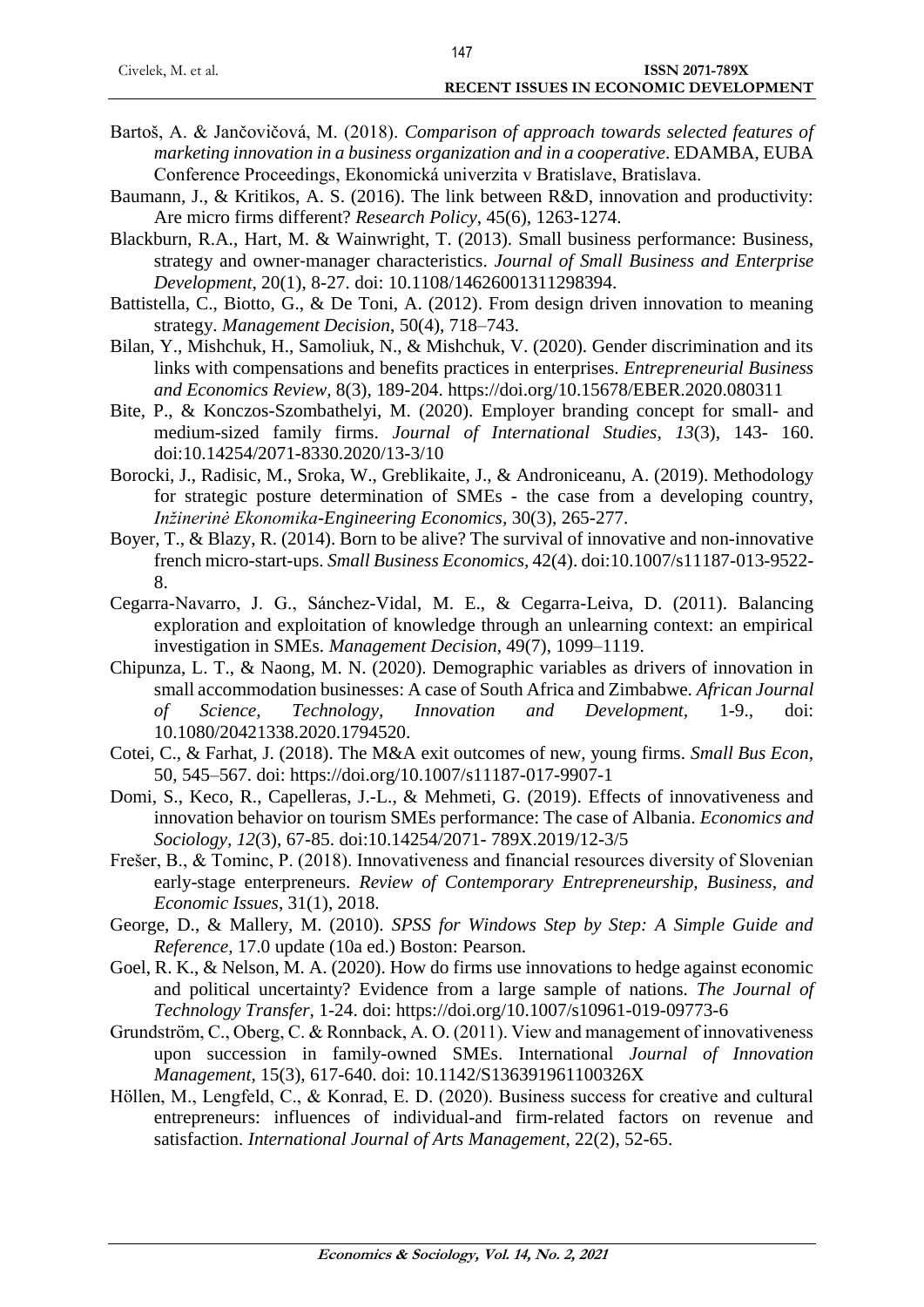- Bartoš, A. & Jančovičová, M. (2018). *Comparison of approach towards selected features of marketing innovation in a business organization and in a cooperative*. EDAMBA, EUBA Conference Proceedings, Ekonomická univerzita v Bratislave, Bratislava.
- Baumann, J., & Kritikos, A. S. (2016). The link between R&D, innovation and productivity: Are micro firms different? *Research Policy*, 45(6), 1263-1274.
- Blackburn, R.A., Hart, M. & Wainwright, T. (2013). Small business performance: Business, strategy and owner‐manager characteristics. *Journal of Small Business and Enterprise Development*, 20(1), 8-27. doi: 10.1108/14626001311298394.
- Battistella, C., Biotto, G., & De Toni, A. (2012). From design driven innovation to meaning strategy. *Management Decision*, 50(4), 718–743.
- Bilan, Y., Mishchuk, H., Samoliuk, N., & Mishchuk, V. (2020). Gender discrimination and its links with compensations and benefits practices in enterprises. *Entrepreneurial Business and Economics Review,* 8(3), 189-204. https://doi.org/10.15678/EBER.2020.080311
- Bite, P., & Konczos-Szombathelyi, M. (2020). Employer branding concept for small- and medium-sized family firms. *Journal of International Studies, 13*(3), 143- 160. doi:10.14254/2071-8330.2020/13-3/10
- Borocki, J., Radisic, M., Sroka, W., Greblikaite, J., & Androniceanu, A. (2019). Methodology for strategic posture determination of SMEs - the case from a developing country, *Inžinerinė Ekonomika-Engineering Economics,* 30(3), 265-277.
- Boyer, T., & Blazy, R. (2014). Born to be alive? The survival of innovative and non-innovative french micro-start-ups. *Small Business Economics,* 42(4). doi:10.1007/s11187-013-9522- 8.
- Cegarra-Navarro, J. G., Sánchez-Vidal, M. E., & Cegarra-Leiva, D. (2011). Balancing exploration and exploitation of knowledge through an unlearning context: an empirical investigation in SMEs. *Management Decision*, 49(7), 1099–1119.
- Chipunza, L. T., & Naong, M. N. (2020). Demographic variables as drivers of innovation in small accommodation businesses: A case of South Africa and Zimbabwe*. African Journal of Science, Technology, Innovation and Development,* 1-9., doi: 10.1080/20421338.2020.1794520.
- Cotei, C., & Farhat, J. (2018). The M&A exit outcomes of new, young firms*. Small Bus Econ*, 50, 545–567. doi:<https://doi.org/10.1007/s11187-017-9907-1>
- Domi, S., Keco, R., Capelleras, J.-L., & Mehmeti, G. (2019). Effects of innovativeness and innovation behavior on tourism SMEs performance: The case of Albania. *Economics and Sociology, 12*(3), 67-85. doi:10.14254/2071- 789X.2019/12-3/5
- Frešer, B., & Tominc, P. (2018). Innovativeness and financial resources diversity of Slovenian early-stage enterpreneurs. *Review of Contemporary Entrepreneurship, Business, and Economic Issues*, 31(1), 2018.
- George, D., & Mallery, M. (2010). *SPSS for Windows Step by Step: A Simple Guide and Reference,* 17.0 update (10a ed.) Boston: Pearson.
- Goel, R. K., & Nelson, M. A. (2020). How do firms use innovations to hedge against economic and political uncertainty? Evidence from a large sample of nations. *The Journal of Technology Transfer,* 1-24. doi:<https://doi.org/10.1007/s10961-019-09773-6>
- Grundström, C., Oberg, C. & Ronnback, A. O. (2011). View and management of innovativeness upon succession in family-owned SMEs. International *Journal of Innovation Management,* 15(3), 617-640. doi: 10.1142/S136391961100326X
- Höllen, M., Lengfeld, C., & Konrad, E. D. (2020). Business success for creative and cultural entrepreneurs: influences of individual-and firm-related factors on revenue and satisfaction. *International Journal of Arts Management*, 22(2), 52-65.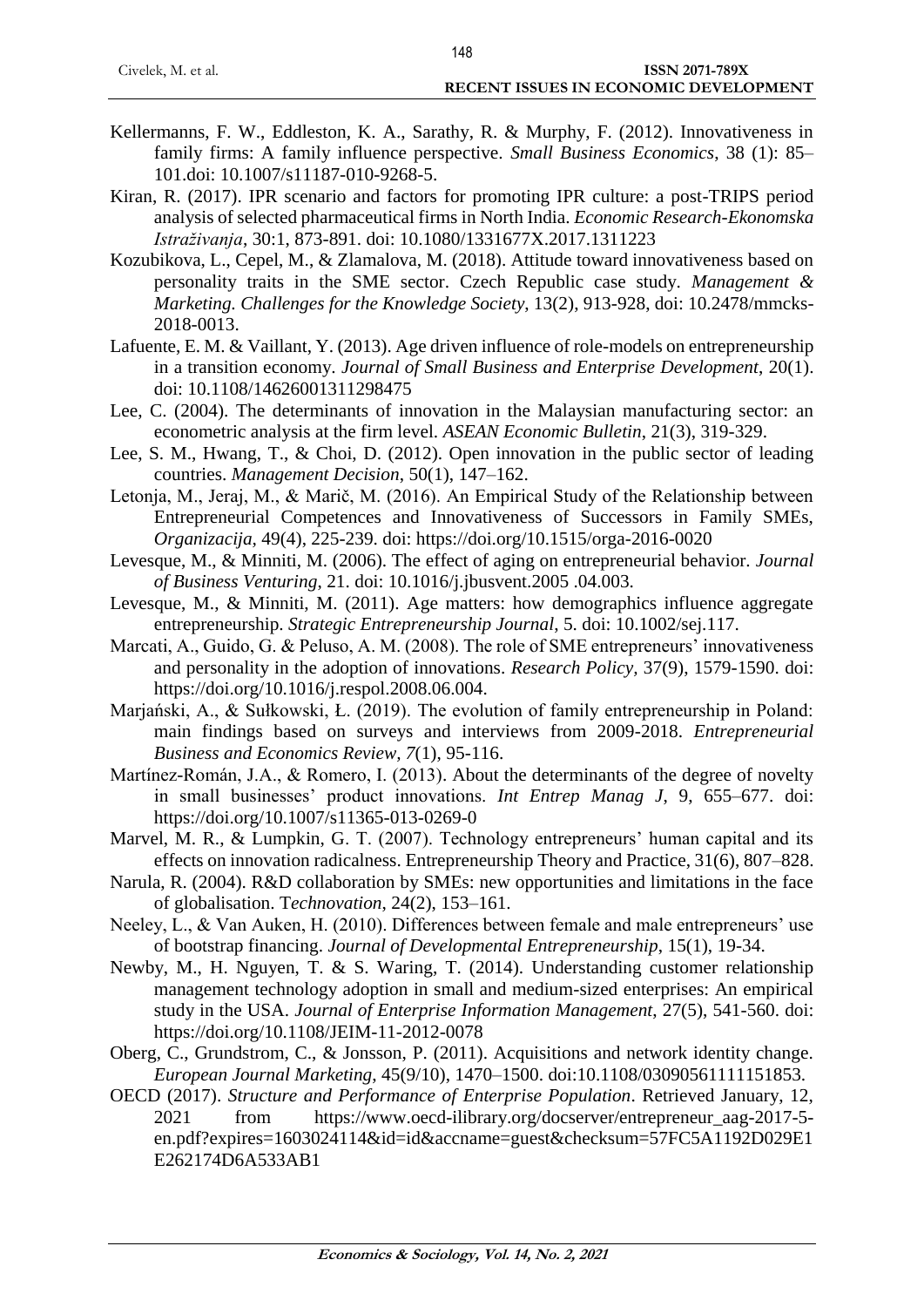|                    | .                                            |
|--------------------|----------------------------------------------|
| Civelek, M. et al. | <b>ISSN 2071-789X</b>                        |
|                    | <b>RECENT ISSUES IN ECONOMIC DEVELOPMENT</b> |
|                    |                                              |

- Kellermanns, F. W., Eddleston, K. A., Sarathy, R. & Murphy, F. (2012). Innovativeness in family firms: A family influence perspective. *Small Business Economics*, 38 (1): 85– 101.doi: 10.1007/s11187-010-9268-5.
- Kiran, R. (2017). IPR scenario and factors for promoting IPR culture: a post-TRIPS period analysis of selected pharmaceutical firms in North India. *Economic Research-Ekonomska Istraživanja*, 30:1, 873-891. doi: 10.1080/1331677X.2017.1311223
- Kozubikova, L., Cepel, M., & Zlamalova, M. (2018). Attitude toward innovativeness based on personality traits in the SME sector. Czech Republic case study. *Management & Marketing. Challenges for the Knowledge Society*, 13(2), 913-928, doi: 10.2478/mmcks-2018-0013.
- Lafuente, E. M. & Vaillant, Y. (2013). Age driven influence of role-models on entrepreneurship in a transition economy. *Journal of Small Business and Enterprise Development*, 20(1). doi: 10.1108/14626001311298475
- Lee, C. (2004). The determinants of innovation in the Malaysian manufacturing sector: an econometric analysis at the firm level. *ASEAN Economic Bulletin*, 21(3), 319-329.
- Lee, S. M., Hwang, T., & Choi, D. (2012). Open innovation in the public sector of leading countries. *Management Decision*, 50(1), 147–162.
- Letonja, M., Jeraj, M., & Marič, M. (2016). An Empirical Study of the Relationship between Entrepreneurial Competences and Innovativeness of Successors in Family SMEs, *Organizacija,* 49(4), 225-239. doi:<https://doi.org/10.1515/orga-2016-0020>
- Levesque, M., & Minniti, M. (2006). The effect of aging on entrepreneurial behavior. *Journal of Business Venturing*, 21. doi: 10.1016/j.jbusvent.2005 .04.003.
- Levesque, M., & Minniti, M. (2011). Age matters: how demographics influence aggregate entrepreneurship. *Strategic Entrepreneurship Journal*, 5. doi: 10.1002/sej.117.
- Marcati, A., Guido, G. & Peluso, A. M. (2008). The role of SME entrepreneurs' innovativeness and personality in the adoption of innovations. *Research Policy,* 37(9), 1579-1590. doi: [https://doi.org/10.1016/j.respol.2008.06.004.](https://doi.org/10.1016/j.respol.2008.06.004)
- Marjański, A., & Sułkowski, Ł. (2019). The evolution of family entrepreneurship in Poland: main findings based on surveys and interviews from 2009-2018. *Entrepreneurial Business and Economics Review, 7*(1), 95-116.
- Martínez-Román, J.A., & Romero, I. (2013). About the determinants of the degree of novelty in small businesses' product innovations. *Int Entrep Manag J*, 9, 655–677. doi: <https://doi.org/10.1007/s11365-013-0269-0>
- Marvel, M. R., & Lumpkin, G. T. (2007). Technology entrepreneurs' human capital and its effects on innovation radicalness. Entrepreneurship Theory and Practice, 31(6), 807–828.
- Narula, R. (2004). R&D collaboration by SMEs: new opportunities and limitations in the face of globalisation. T*echnovation*, 24(2), 153–161.
- Neeley, L., & Van Auken, H. (2010). Differences between female and male entrepreneurs' use of bootstrap financing. *Journal of Developmental Entrepreneurship*, 15(1), 19-34.
- Newby, M., H. Nguyen, T. & S. Waring, T. (2014). Understanding customer relationship management technology adoption in small and medium-sized enterprises: An empirical study in the USA. *Journal of Enterprise Information Management*, 27(5), 541-560. doi: <https://doi.org/10.1108/JEIM-11-2012-0078>
- Oberg, C., Grundstrom, C., & Jonsson, P. (2011). Acquisitions and network identity change. *European Journal Marketing*, 45(9/10), 1470–1500. doi:10.1108/03090561111151853.
- OECD (2017). *Structure and Performance of Enterprise Population*. Retrieved January, 12, 2021 from https://www.oecd-ilibrary.org/docserver/entrepreneur\_aag-2017-5 en.pdf?expires=1603024114&id=id&accname=guest&checksum=57FC5A1192D029E1 E262174D6A533AB1

148